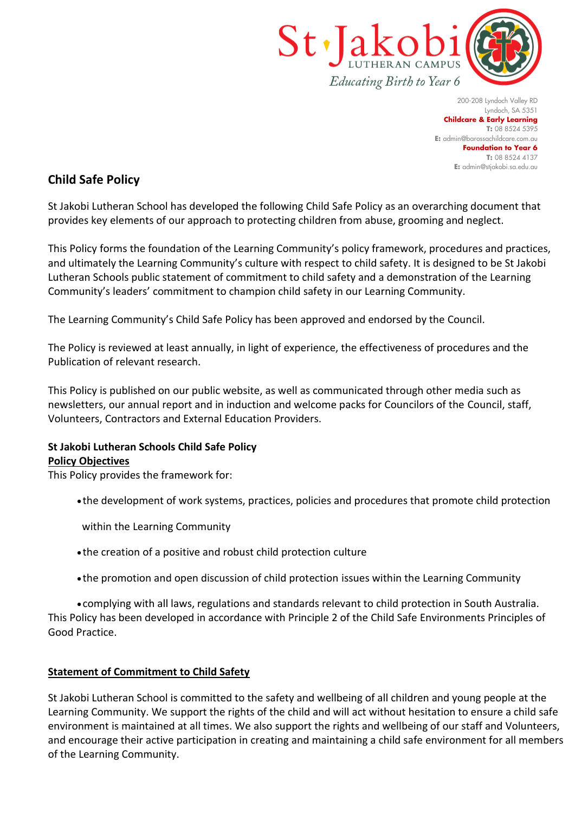

200-208 Lyndoch Valley RD Lyndoch, SA 5351 **Childcare & Early Learning T:** 08 8524 5395 **E:** [admin@barossachildcare.com.au](mailto:admin@barossachildcare.com.au) **Foundation to Year 6 T:** 08 8524 4137 **E:** admin@stjakobi.sa.edu.au

# **Child Safe Policy**

St Jakobi Lutheran School has developed the following Child Safe Policy as an overarching document that provides key elements of our approach to protecting children from abuse, grooming and neglect.

This Policy forms the foundation of the Learning Community's policy framework, procedures and practices, and ultimately the Learning Community's culture with respect to child safety. It is designed to be St Jakobi Lutheran Schools public statement of commitment to child safety and a demonstration of the Learning Community's leaders' commitment to champion child safety in our Learning Community.

The Learning Community's Child Safe Policy has been approved and endorsed by the Council.

The Policy is reviewed at least annually, in light of experience, the effectiveness of procedures and the Publication of relevant research.

This Policy is published on our public website, as well as communicated through other media such as newsletters, our annual report and in induction and welcome packs for Councilors of the Council, staff, Volunteers, Contractors and External Education Providers.

## **St Jakobi Lutheran Schools Child Safe Policy Policy Objectives**

This Policy provides the framework for:

• the development of work systems, practices, policies and procedures that promote child protection

within the Learning Community

- the creation of a positive and robust child protection culture
- the promotion and open discussion of child protection issues within the Learning Community

• complying with all laws, regulations and standards relevant to child protection in South Australia. This Policy has been developed in accordance with Principle 2 of the Child Safe Environments Principles of Good Practice.

## **Statement of Commitment to Child Safety**

St Jakobi Lutheran School is committed to the safety and wellbeing of all children and young people at the Learning Community. We support the rights of the child and will act without hesitation to ensure a child safe environment is maintained at all times. We also support the rights and wellbeing of our staff and Volunteers, and encourage their active participation in creating and maintaining a child safe environment for all members of the Learning Community.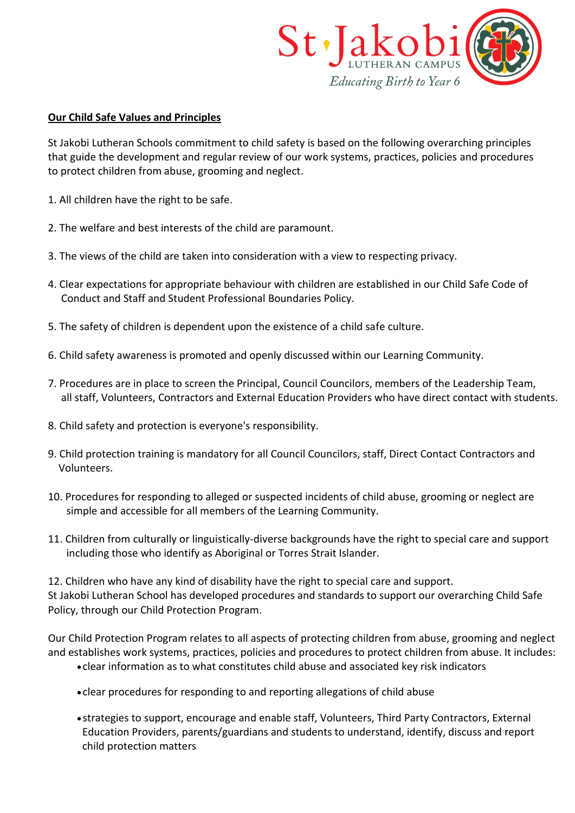

### **Our Child Safe Values and Principles**

St Jakobi Lutheran Schools commitment to child safety is based on the following overarching principles that guide the development and regular review of our work systems, practices, policies and procedures to protect children from abuse, grooming and neglect.

- 1. All children have the right to be safe.
- 2. The welfare and best interests of the child are paramount.
- 3. The views of the child are taken into consideration with a view to respecting privacy.
- 4. Clear expectations for appropriate behaviour with children are established in our Child Safe Code of Conduct and Staff and Student Professional Boundaries Policy.
- 5. The safety of children is dependent upon the existence of a child safe culture.
- 6. Child safety awareness is promoted and openly discussed within our Learning Community.
- 7. Procedures are in place to screen the Principal, Council Councilors, members of the Leadership Team, all staff, Volunteers, Contractors and External Education Providers who have direct contact with students.
- 8. Child safety and protection is everyone's responsibility.
- 9. Child protection training is mandatory for all Council Councilors, staff, Direct Contact Contractors and Volunteers.
- 10. Procedures for responding to alleged or suspected incidents of child abuse, grooming or neglect are simple and accessible for all members of the Learning Community.
- 11. Children from culturally or linguistically-diverse backgrounds have the right to special care and support including those who identify as Aboriginal or Torres Strait Islander.

12. Children who have any kind of disability have the right to special care and support. St Jakobi Lutheran School has developed procedures and standards to support our overarching Child Safe Policy, through our Child Protection Program.

Our Child Protection Program relates to all aspects of protecting children from abuse, grooming and neglect and establishes work systems, practices, policies and procedures to protect children from abuse. It includes:

- clear information as to what constitutes child abuse and associated key risk indicators
- clear procedures for responding to and reporting allegations of child abuse
- strategies to support, encourage and enable staff, Volunteers, Third Party Contractors, External Education Providers, parents/guardians and students to understand, identify, discuss and report child protection matters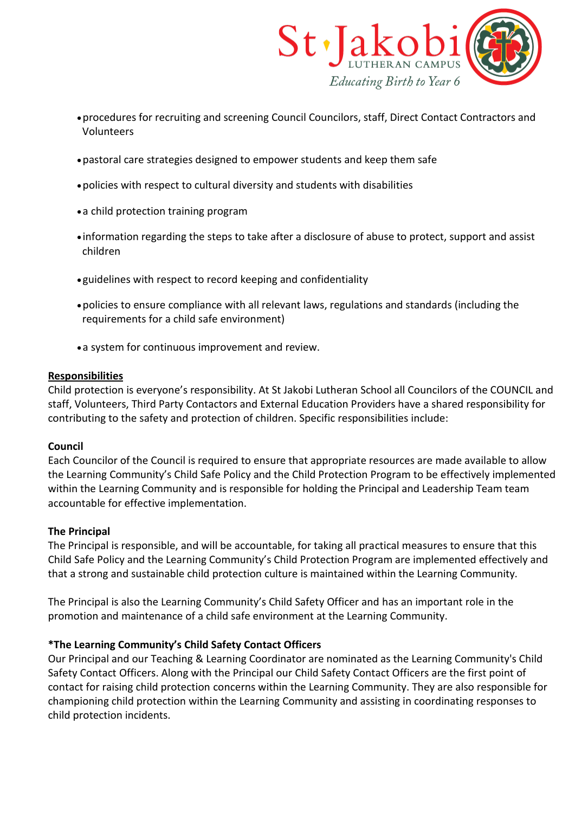

- •procedures for recruiting and screening Council Councilors, staff, Direct Contact Contractors and Volunteers
- •pastoral care strategies designed to empower students and keep them safe
- •policies with respect to cultural diversity and students with disabilities
- •a child protection training program
- information regarding the steps to take after a disclosure of abuse to protect, support and assist children
- guidelines with respect to record keeping and confidentiality
- •policies to ensure compliance with all relevant laws, regulations and standards (including the requirements for a child safe environment)
- •a system for continuous improvement and review.

### **Responsibilities**

Child protection is everyone's responsibility. At St Jakobi Lutheran School all Councilors of the COUNCIL and staff, Volunteers, Third Party Contactors and External Education Providers have a shared responsibility for contributing to the safety and protection of children. Specific responsibilities include:

## **Council**

Each Councilor of the Council is required to ensure that appropriate resources are made available to allow the Learning Community's Child Safe Policy and the Child Protection Program to be effectively implemented within the Learning Community and is responsible for holding the Principal and Leadership Team team accountable for effective implementation.

## **The Principal**

The Principal is responsible, and will be accountable, for taking all practical measures to ensure that this Child Safe Policy and the Learning Community's Child Protection Program are implemented effectively and that a strong and sustainable child protection culture is maintained within the Learning Community.

The Principal is also the Learning Community's Child Safety Officer and has an important role in the promotion and maintenance of a child safe environment at the Learning Community.

## **\*The Learning Community's Child Safety Contact Officers**

Our Principal and our Teaching & Learning Coordinator are nominated as the Learning Community's Child Safety Contact Officers. Along with the Principal our Child Safety Contact Officers are the first point of contact for raising child protection concerns within the Learning Community. They are also responsible for championing child protection within the Learning Community and assisting in coordinating responses to child protection incidents.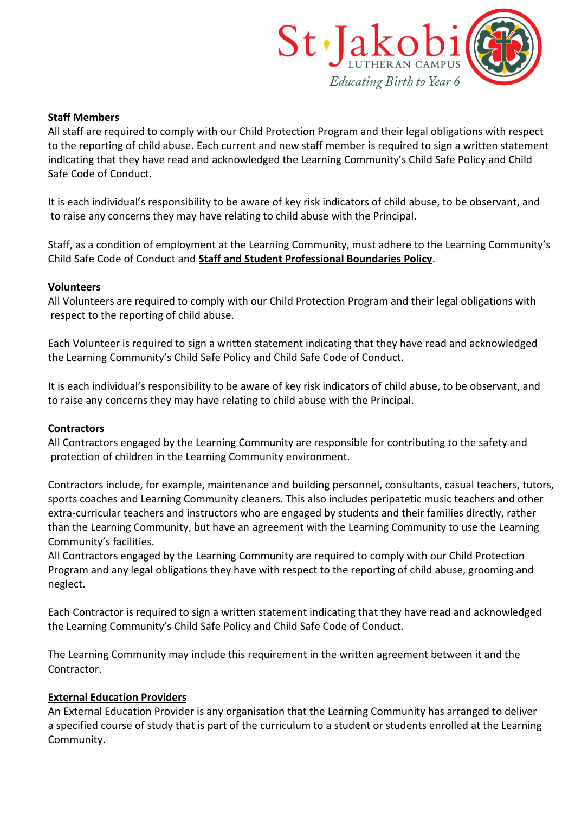

#### **Staff Members**

All staff are required to comply with our Child Protection Program and their legal obligations with respect to the reporting of child abuse. Each current and new staff member is required to sign a written statement indicating that they have read and acknowledged the Learning Community's Child Safe Policy and Child Safe Code of Conduct.

It is each individual's responsibility to be aware of key risk indicators of child abuse, to be observant, and to raise any concerns they may have relating to child abuse with the Principal.

Staff, as a condition of employment at the Learning Community, must adhere to the Learning Community's Child Safe Code of Conduct and **[Staff and Student Professional Boundaries Policy](https://stjakobils.cspace.net.au/StaffandStudentProfessionalBoundariesPolicy)**.

#### **Volunteers**

All Volunteers are required to comply with our Child Protection Program and their legal obligations with respect to the reporting of child abuse.

Each Volunteer is required to sign a written statement indicating that they have read and acknowledged the Learning Community's Child Safe Policy and Child Safe Code of Conduct.

It is each individual's responsibility to be aware of key risk indicators of child abuse, to be observant, and to raise any concerns they may have relating to child abuse with the Principal.

#### **Contractors**

All Contractors engaged by the Learning Community are responsible for contributing to the safety and protection of children in the Learning Community environment.

Contractors include, for example, maintenance and building personnel, consultants, casual teachers, tutors, sports coaches and Learning Community cleaners. This also includes peripatetic music teachers and other extra-curricular teachers and instructors who are engaged by students and their families directly, rather than the Learning Community, but have an agreement with the Learning Community to use the Learning Community's facilities.

All Contractors engaged by the Learning Community are required to comply with our Child Protection Program and any legal obligations they have with respect to the reporting of child abuse, grooming and neglect.

Each Contractor is required to sign a written statement indicating that they have read and acknowledged the Learning Community's Child Safe Policy and Child Safe Code of Conduct.

The Learning Community may include this requirement in the written agreement between it and the Contractor.

### **External Education Providers**

An External Education Provider is any organisation that the Learning Community has arranged to deliver a specified course of study that is part of the curriculum to a student or students enrolled at the Learning Community.